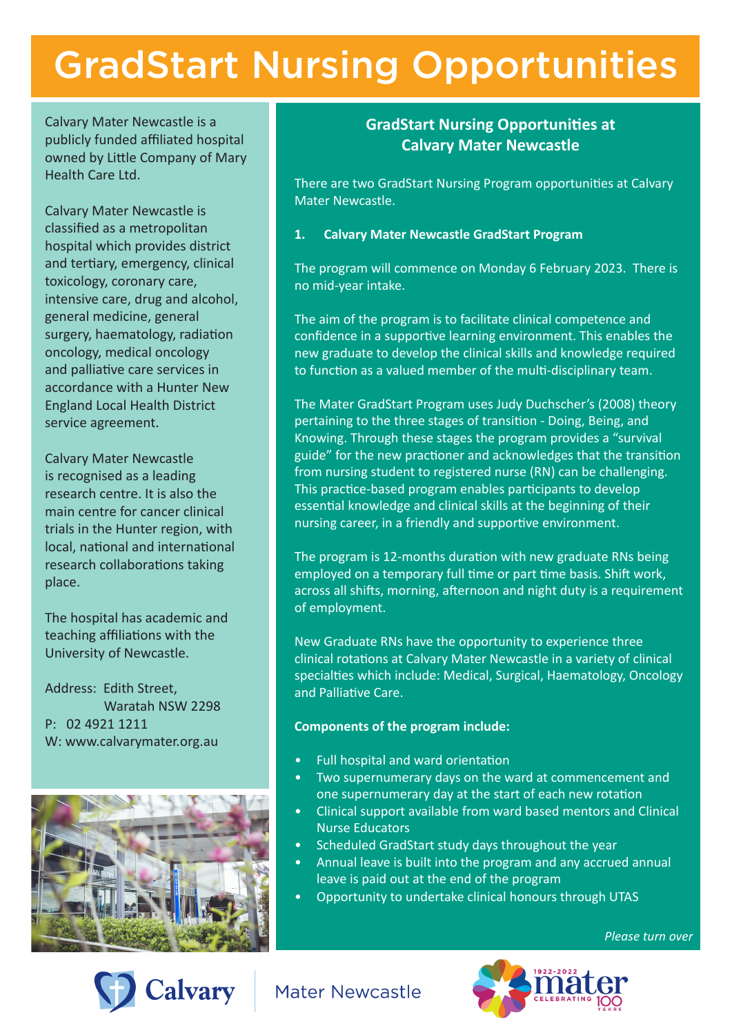# GradStart Nursing Opportunities

Calvary Mater Newcastle is a publicly funded affiliated hospital owned by Little Company of Mary Health Care Ltd.

Calvary Mater Newcastle is classified as a metropolitan hospital which provides district and tertiary, emergency, clinical toxicology, coronary care, intensive care, drug and alcohol, general medicine, general surgery, haematology, radiation oncology, medical oncology and palliative care services in accordance with a Hunter New England Local Health District service agreement.

Calvary Mater Newcastle is recognised as a leading research centre. It is also the main centre for cancer clinical trials in the Hunter region, with local, national and international research collaborations taking place.

The hospital has academic and teaching affiliations with the University of Newcastle.

Address: Edith Street, Waratah NSW 2298 P: 02 4921 1211 W: www.calvarymater.org.au



**Calvary** 

## **GradStart Nursing Opportunities at Calvary Mater Newcastle**

There are two GradStart Nursing Program opportunities at Calvary Mater Newcastle.

### **1. Calvary Mater Newcastle GradStart Program**

The program will commence on Monday 6 February 2023. There is no mid-year intake.

The aim of the program is to facilitate clinical competence and confidence in a supportive learning environment. This enables the new graduate to develop the clinical skills and knowledge required to function as a valued member of the multi-disciplinary team.

The Mater GradStart Program uses Judy Duchscher's (2008) theory pertaining to the three stages of transition - Doing, Being, and Knowing. Through these stages the program provides a "survival guide" for the new practioner and acknowledges that the transition from nursing student to registered nurse (RN) can be challenging. This practice-based program enables participants to develop essential knowledge and clinical skills at the beginning of their nursing career, in a friendly and supportive environment.

The program is 12-months duration with new graduate RNs being employed on a temporary full time or part time basis. Shift work, across all shifts, morning, afternoon and night duty is a requirement of employment.

New Graduate RNs have the opportunity to experience three clinical rotations at Calvary Mater Newcastle in a variety of clinical specialties which include: Medical, Surgical, Haematology, Oncology and Palliative Care.

#### **Components of the program include:**

- Full hospital and ward orientation
- Two supernumerary days on the ward at commencement and one supernumerary day at the start of each new rotation
- Clinical support available from ward based mentors and Clinical Nurse Educators
- Scheduled GradStart study days throughout the year
- Annual leave is built into the program and any accrued annual leave is paid out at the end of the program
- Opportunity to undertake clinical honours through UTAS

*Please turn over*



**Mater Newcastle**